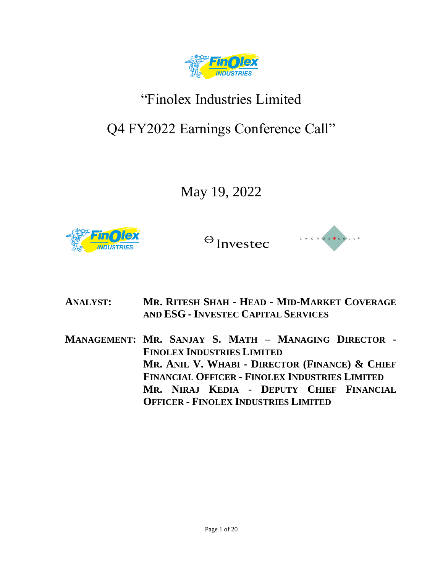

# "Finolex Industries Limited

## Q4 FY2022 Earnings Conference Call"

May 19, 2022





**ANALYST: MR. RITESH SHAH - HEAD - MID-MARKET COVERAGE AND ESG - INVESTEC CAPITAL SERVICES**

**MANAGEMENT: MR. SANJAY S. MATH – MANAGING DIRECTOR - FINOLEX INDUSTRIES LIMITED MR. ANIL V. WHABI - DIRECTOR (FINANCE) & CHIEF FINANCIAL OFFICER - FINOLEX INDUSTRIES LIMITED MR. NIRAJ KEDIA - DEPUTY CHIEF FINANCIAL OFFICER - FINOLEX INDUSTRIES LIMITED**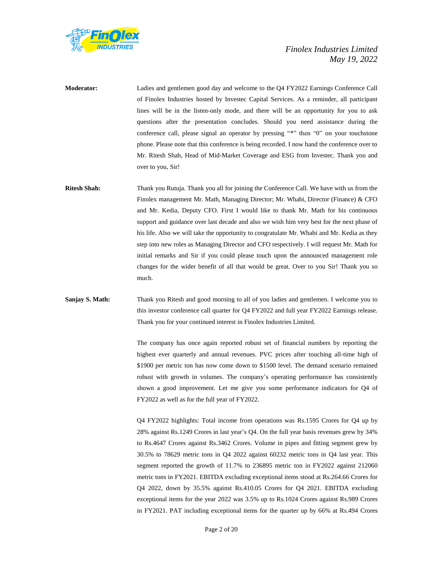

**Moderator:** Ladies and gentlemen good day and welcome to the Q4 FY2022 Earnings Conference Call of Finolex Industries hosted by Investec Capital Services. As a reminder, all participant lines will be in the listen-only mode, and there will be an opportunity for you to ask questions after the presentation concludes. Should you need assistance during the conference call, please signal an operator by pressing "\*" then "0" on your touchstone phone. Please note that this conference is being recorded. I now hand the conference over to Mr. Ritesh Shah, Head of Mid-Market Coverage and ESG from Investec. Thank you and over to you, Sir!

**Ritesh Shah:** Thank you Rutuja. Thank you all for joining the Conference Call. We have with us from the Finolex management Mr. Math, Managing Director; Mr. Whabi, Director (Finance) & CFO and Mr. Kedia, Deputy CFO. First I would like to thank Mr. Math for his continuous support and guidance over last decade and also we wish him very best for the next phase of his life. Also we will take the opportunity to congratulate Mr. Whabi and Mr. Kedia as they step into new roles as Managing Director and CFO respectively. I will request Mr. Math for initial remarks and Sir if you could please touch upon the announced management role changes for the wider benefit of all that would be great. Over to you Sir! Thank you so much.

## **Sanjay S. Math:** Thank you Ritesh and good morning to all of you ladies and gentlemen. I welcome you to this investor conference call quarter for Q4 FY2022 and full year FY2022 Earnings release. Thank you for your continued interest in Finolex Industries Limited.

The company has once again reported robust set of financial numbers by reporting the highest ever quarterly and annual revenues. PVC prices after touching all-time high of \$1900 per metric ton has now come down to \$1500 level. The demand scenario remained robust with growth in volumes. The company's operating performance has consistently shown a good improvement. Let me give you some performance indicators for Q4 of FY2022 as well as for the full year of FY2022.

Q4 FY2022 highlights: Total income from operations was Rs.1595 Crores for Q4 up by 28% against Rs.1249 Crores in last year's Q4. On the full year basis revenues grew by 34% to Rs.4647 Crores against Rs.3462 Crores. Volume in pipes and fitting segment grew by 30.5% to 78629 metric tons in Q4 2022 against 60232 metric tons in Q4 last year. This segment reported the growth of 11.7% to 236895 metric ton in FY2022 against 212060 metric tons in FY2021. EBITDA excluding exceptional items stood at Rs.264.66 Crores for Q4 2022, down by 35.5% against Rs.410.05 Crores for Q4 2021. EBITDA excluding exceptional items for the year 2022 was 3.5% up to Rs.1024 Crores against Rs.989 Crores in FY2021. PAT including exceptional items for the quarter up by 66% at Rs.494 Crores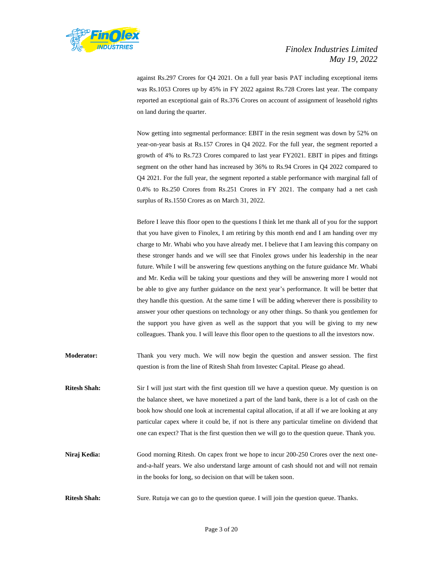

against Rs.297 Crores for Q4 2021. On a full year basis PAT including exceptional items was Rs.1053 Crores up by 45% in FY 2022 against Rs.728 Crores last year. The company reported an exceptional gain of Rs.376 Crores on account of assignment of leasehold rights on land during the quarter.

Now getting into segmental performance: EBIT in the resin segment was down by 52% on year-on-year basis at Rs.157 Crores in Q4 2022. For the full year, the segment reported a growth of 4% to Rs.723 Crores compared to last year FY2021. EBIT in pipes and fittings segment on the other hand has increased by 36% to Rs.94 Crores in Q4 2022 compared to Q4 2021. For the full year, the segment reported a stable performance with marginal fall of 0.4% to Rs.250 Crores from Rs.251 Crores in FY 2021. The company had a net cash surplus of Rs.1550 Crores as on March 31, 2022.

Before I leave this floor open to the questions I think let me thank all of you for the support that you have given to Finolex, I am retiring by this month end and I am handing over my charge to Mr. Whabi who you have already met. I believe that I am leaving this company on these stronger hands and we will see that Finolex grows under his leadership in the near future. While I will be answering few questions anything on the future guidance Mr. Whabi and Mr. Kedia will be taking your questions and they will be answering more I would not be able to give any further guidance on the next year's performance. It will be better that they handle this question. At the same time I will be adding wherever there is possibility to answer your other questions on technology or any other things. So thank you gentlemen for the support you have given as well as the support that you will be giving to my new colleagues. Thank you. I will leave this floor open to the questions to all the investors now.

- **Moderator:** Thank you very much. We will now begin the question and answer session. The first question is from the line of Ritesh Shah from Investec Capital. Please go ahead.
- **Ritesh Shah:** Sir I will just start with the first question till we have a question queue. My question is on the balance sheet, we have monetized a part of the land bank, there is a lot of cash on the book how should one look at incremental capital allocation, if at all if we are looking at any particular capex where it could be, if not is there any particular timeline on dividend that one can expect? That is the first question then we will go to the question queue. Thank you.
- **Niraj Kedia:** Good morning Ritesh. On capex front we hope to incur 200-250 Crores over the next oneand-a-half years. We also understand large amount of cash should not and will not remain in the books for long, so decision on that will be taken soon.
- **Ritesh Shah:** Sure. Rutuja we can go to the question queue. I will join the question queue. Thanks.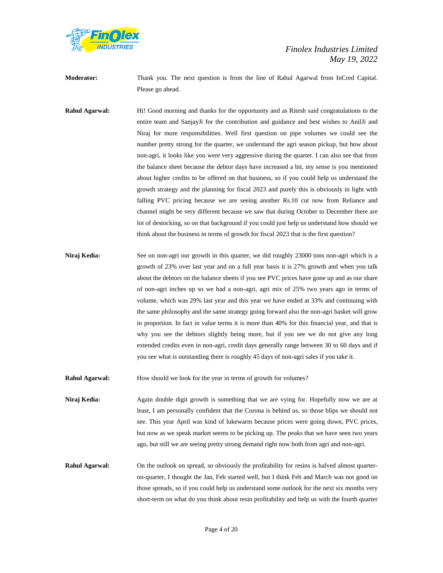

**Moderator:** Thank you. The next question is from the line of Rahul Agarwal from InCred Capital. Please go ahead.

**Rahul Agarwal:** Hi! Good morning and thanks for the opportunity and as Ritesh said congratulations to the entire team and SanjayJi for the contribution and guidance and best wishes to AnilJi and Niraj for more responsibilities. Well first question on pipe volumes we could see the number pretty strong for the quarter, we understand the agri season pickup, but how about non-agri, it looks like you were very aggressive during the quarter. I can also see that from the balance sheet because the debtor days have increased a bit, my sense is you mentioned about higher credits to be offered on that business, so if you could help us understand the growth strategy and the planning for fiscal 2023 and purely this is obviously in light with falling PVC pricing because we are seeing another Rs.10 cut now from Reliance and channel might be very different because we saw that during October to December there are lot of destocking, so on that background if you could just help us understand how should we think about the business in terms of growth for fiscal 2023 that is the first question?

**Niraj Kedia:** See on non-agri our growth in this quarter, we did roughly 23000 tons non-agri which is a growth of 23% over last year and on a full year basis it is 27% growth and when you talk about the debtors on the balance sheets if you see PVC prices have gone up and as our share of non-agri inches up so we had a non-agri, agri mix of 25% two years ago in terms of volume, which was 29% last year and this year we have ended at 33% and continuing with the same philosophy and the same strategy going forward also the non-agri basket will grow in proportion. In fact in value terms it is more than 40% for this financial year, and that is why you see the debtors slightly being more, but if you see we do not give any long extended credits even in non-agri, credit days generally range between 30 to 60 days and if you see what is outstanding there is roughly 45 days of non-agri sales if you take it.

**Rahul Agarwal:** How should we look for the year in terms of growth for volumes?

**Niraj Kedia:** Again double digit growth is something that we are vying for. Hopefully now we are at least, I am personally confident that the Corona is behind us, so those blips we should not see. This year April was kind of lukewarm because prices were going down, PVC prices, but now as we speak market seems to be picking up. The peaks that we have seen two years ago, but still we are seeing pretty strong demand right now both from agri and non-agri.

**Rahul Agarwal:** On the outlook on spread, so obviously the profitability for resins is halved almost quarteron-quarter, I thought the Jan, Feb started well, but I think Feb and March was not good on those spreads, so if you could help us understand some outlook for the next six months very short-term on what do you think about resin profitability and help us with the fourth quarter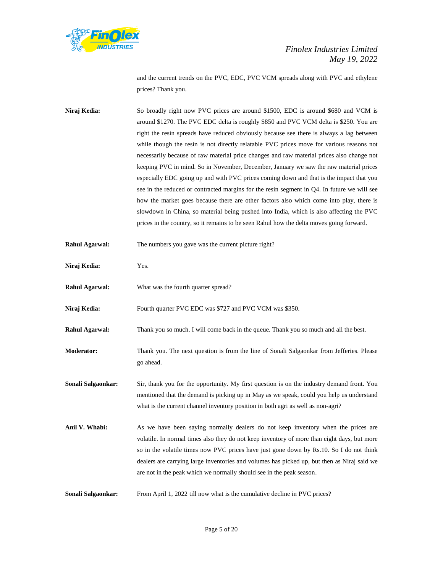

and the current trends on the PVC, EDC, PVC VCM spreads along with PVC and ethylene prices? Thank you.

**Niraj Kedia:** So broadly right now PVC prices are around \$1500, EDC is around \$680 and VCM is around \$1270. The PVC EDC delta is roughly \$850 and PVC VCM delta is \$250. You are right the resin spreads have reduced obviously because see there is always a lag between while though the resin is not directly relatable PVC prices move for various reasons not necessarily because of raw material price changes and raw material prices also change not keeping PVC in mind. So in November, December, January we saw the raw material prices especially EDC going up and with PVC prices coming down and that is the impact that you see in the reduced or contracted margins for the resin segment in Q4. In future we will see how the market goes because there are other factors also which come into play, there is slowdown in China, so material being pushed into India, which is also affecting the PVC prices in the country, so it remains to be seen Rahul how the delta moves going forward.

| <b>Rahul Agarwal:</b> | The numbers you gave was the current picture right?                                                                                                                                                                                                                                                                                                                                                                                                |
|-----------------------|----------------------------------------------------------------------------------------------------------------------------------------------------------------------------------------------------------------------------------------------------------------------------------------------------------------------------------------------------------------------------------------------------------------------------------------------------|
| Niraj Kedia:          | Yes.                                                                                                                                                                                                                                                                                                                                                                                                                                               |
| <b>Rahul Agarwal:</b> | What was the fourth quarter spread?                                                                                                                                                                                                                                                                                                                                                                                                                |
| Niraj Kedia:          | Fourth quarter PVC EDC was \$727 and PVC VCM was \$350.                                                                                                                                                                                                                                                                                                                                                                                            |
| <b>Rahul Agarwal:</b> | Thank you so much. I will come back in the queue. Thank you so much and all the best.                                                                                                                                                                                                                                                                                                                                                              |
| <b>Moderator:</b>     | Thank you. The next question is from the line of Sonali Salgaonkar from Jefferies. Please<br>go ahead.                                                                                                                                                                                                                                                                                                                                             |
| Sonali Salgaonkar:    | Sir, thank you for the opportunity. My first question is on the industry demand front. You<br>mentioned that the demand is picking up in May as we speak, could you help us understand<br>what is the current channel inventory position in both agri as well as non-agri?                                                                                                                                                                         |
| Anil V. Whabi:        | As we have been saying normally dealers do not keep inventory when the prices are<br>volatile. In normal times also they do not keep inventory of more than eight days, but more<br>so in the volatile times now PVC prices have just gone down by Rs.10. So I do not think<br>dealers are carrying large inventories and volumes has picked up, but then as Niraj said we<br>are not in the peak which we normally should see in the peak season. |
| Sonali Salgaonkar:    | From April 1, 2022 till now what is the cumulative decline in PVC prices?                                                                                                                                                                                                                                                                                                                                                                          |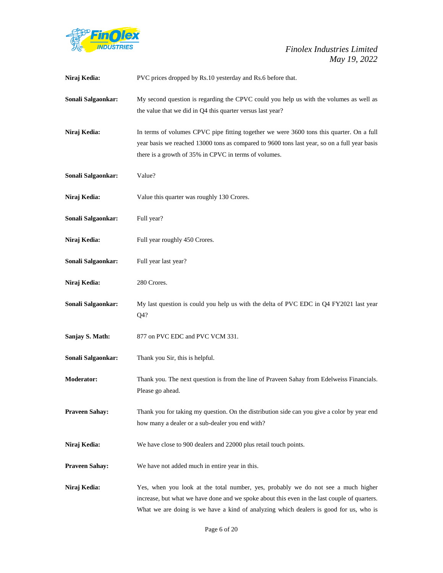

| Niraj Kedia:          | PVC prices dropped by Rs.10 yesterday and Rs.6 before that.                                                                                                                                                                                                                |
|-----------------------|----------------------------------------------------------------------------------------------------------------------------------------------------------------------------------------------------------------------------------------------------------------------------|
| Sonali Salgaonkar:    | My second question is regarding the CPVC could you help us with the volumes as well as<br>the value that we did in Q4 this quarter versus last year?                                                                                                                       |
| Niraj Kedia:          | In terms of volumes CPVC pipe fitting together we were 3600 tons this quarter. On a full<br>year basis we reached 13000 tons as compared to 9600 tons last year, so on a full year basis<br>there is a growth of 35% in CPVC in terms of volumes.                          |
| Sonali Salgaonkar:    | Value?                                                                                                                                                                                                                                                                     |
| Niraj Kedia:          | Value this quarter was roughly 130 Crores.                                                                                                                                                                                                                                 |
| Sonali Salgaonkar:    | Full year?                                                                                                                                                                                                                                                                 |
| Niraj Kedia:          | Full year roughly 450 Crores.                                                                                                                                                                                                                                              |
| Sonali Salgaonkar:    | Full year last year?                                                                                                                                                                                                                                                       |
| Niraj Kedia:          | 280 Crores.                                                                                                                                                                                                                                                                |
| Sonali Salgaonkar:    | My last question is could you help us with the delta of PVC EDC in Q4 FY2021 last year<br>Q4?                                                                                                                                                                              |
| Sanjay S. Math:       | 877 on PVC EDC and PVC VCM 331.                                                                                                                                                                                                                                            |
| Sonali Salgaonkar:    | Thank you Sir, this is helpful.                                                                                                                                                                                                                                            |
| <b>Moderator:</b>     | Thank you. The next question is from the line of Praveen Sahay from Edelweiss Financials.<br>Please go ahead.                                                                                                                                                              |
| <b>Praveen Sahay:</b> | Thank you for taking my question. On the distribution side can you give a color by year end<br>how many a dealer or a sub-dealer you end with?                                                                                                                             |
| Niraj Kedia:          | We have close to 900 dealers and 22000 plus retail touch points.                                                                                                                                                                                                           |
| <b>Praveen Sahay:</b> | We have not added much in entire year in this.                                                                                                                                                                                                                             |
| Niraj Kedia:          | Yes, when you look at the total number, yes, probably we do not see a much higher<br>increase, but what we have done and we spoke about this even in the last couple of quarters.<br>What we are doing is we have a kind of analyzing which dealers is good for us, who is |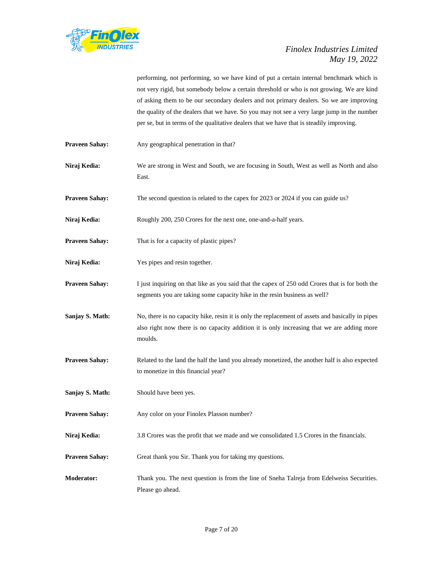

performing, not performing, so we have kind of put a certain internal benchmark which is not very rigid, but somebody below a certain threshold or who is not growing. We are kind of asking them to be our secondary dealers and not primary dealers. So we are improving the quality of the dealers that we have. So you may not see a very large jump in the number per se, but in terms of the qualitative dealers that we have that is steadily improving.

- **Praveen Sahay:** Any geographical penetration in that?
- **Niraj Kedia:** We are strong in West and South, we are focusing in South, West as well as North and also East.
- **Praveen Sahay:** The second question is related to the capex for 2023 or 2024 if you can guide us?
- Niraj Kedia: Roughly 200, 250 Crores for the next one, one-and-a-half years.
- **Praveen Sahay:** That is for a capacity of plastic pipes?
- **Niraj Kedia:** Yes pipes and resin together.
- **Praveen Sahay:** I just inquiring on that like as you said that the capex of 250 odd Crores that is for both the segments you are taking some capacity hike in the resin business as well?
- **Sanjay S. Math:** No, there is no capacity hike, resin it is only the replacement of assets and basically in pipes also right now there is no capacity addition it is only increasing that we are adding more moulds.
- **Praveen Sahay:** Related to the land the half the land you already monetized, the another half is also expected to monetize in this financial year?
- **Sanjay S. Math:** Should have been yes.
- **Praveen Sahay:** Any color on your Finolex Plasson number?
- **Niraj Kedia:** 3.8 Crores was the profit that we made and we consolidated 1.5 Crores in the financials.
- **Praveen Sahay:** Great thank you Sir. Thank you for taking my questions.
- **Moderator:** Thank you. The next question is from the line of Sneha Talreja from Edelweiss Securities. Please go ahead.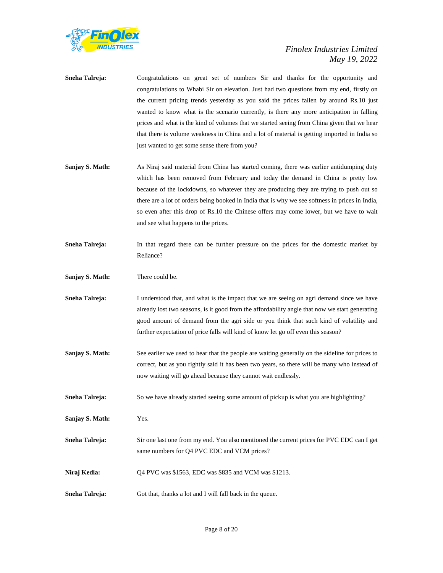

- **Sneha Talreja:** Congratulations on great set of numbers Sir and thanks for the opportunity and congratulations to Whabi Sir on elevation. Just had two questions from my end, firstly on the current pricing trends yesterday as you said the prices fallen by around Rs.10 just wanted to know what is the scenario currently, is there any more anticipation in falling prices and what is the kind of volumes that we started seeing from China given that we hear that there is volume weakness in China and a lot of material is getting imported in India so just wanted to get some sense there from you?
- **Sanjay S. Math:** As Niraj said material from China has started coming, there was earlier antidumping duty which has been removed from February and today the demand in China is pretty low because of the lockdowns, so whatever they are producing they are trying to push out so there are a lot of orders being booked in India that is why we see softness in prices in India, so even after this drop of Rs.10 the Chinese offers may come lower, but we have to wait and see what happens to the prices.
- **Sneha Talreja:** In that regard there can be further pressure on the prices for the domestic market by Reliance?
- **Sanjay S. Math:** There could be.
- **Sneha Talreja:** I understood that, and what is the impact that we are seeing on agri demand since we have already lost two seasons, is it good from the affordability angle that now we start generating good amount of demand from the agri side or you think that such kind of volatility and further expectation of price falls will kind of know let go off even this season?
- **Sanjay S. Math:** See earlier we used to hear that the people are waiting generally on the sideline for prices to correct, but as you rightly said it has been two years, so there will be many who instead of now waiting will go ahead because they cannot wait endlessly.
- **Sneha Talreja:** So we have already started seeing some amount of pickup is what you are highlighting?
- **Sanjay S. Math:** Yes.
- **Sneha Talreja:** Sir one last one from my end. You also mentioned the current prices for PVC EDC can I get same numbers for Q4 PVC EDC and VCM prices?
- **Niraj Kedia:** Q4 PVC was \$1563, EDC was \$835 and VCM was \$1213.
- **Sneha Talreja:** Got that, thanks a lot and I will fall back in the queue.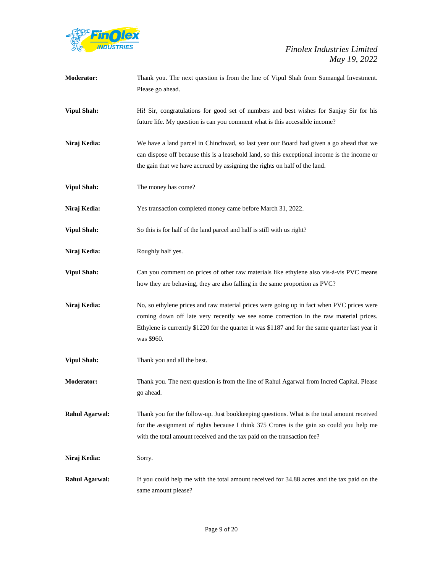

| <b>Moderator:</b>     | Thank you. The next question is from the line of Vipul Shah from Sumangal Investment.<br>Please go ahead.                                                                                                                                                                                            |
|-----------------------|------------------------------------------------------------------------------------------------------------------------------------------------------------------------------------------------------------------------------------------------------------------------------------------------------|
| <b>Vipul Shah:</b>    | Hi! Sir, congratulations for good set of numbers and best wishes for Sanjay Sir for his<br>future life. My question is can you comment what is this accessible income?                                                                                                                               |
| Niraj Kedia:          | We have a land parcel in Chinchwad, so last year our Board had given a go ahead that we<br>can dispose off because this is a leasehold land, so this exceptional income is the income or<br>the gain that we have accrued by assigning the rights on half of the land.                               |
| <b>Vipul Shah:</b>    | The money has come?                                                                                                                                                                                                                                                                                  |
| Niraj Kedia:          | Yes transaction completed money came before March 31, 2022.                                                                                                                                                                                                                                          |
| <b>Vipul Shah:</b>    | So this is for half of the land parcel and half is still with us right?                                                                                                                                                                                                                              |
| Niraj Kedia:          | Roughly half yes.                                                                                                                                                                                                                                                                                    |
| <b>Vipul Shah:</b>    | Can you comment on prices of other raw materials like ethylene also vis-à-vis PVC means<br>how they are behaving, they are also falling in the same proportion as PVC?                                                                                                                               |
| Niraj Kedia:          | No, so ethylene prices and raw material prices were going up in fact when PVC prices were<br>coming down off late very recently we see some correction in the raw material prices.<br>Ethylene is currently \$1220 for the quarter it was \$1187 and for the same quarter last year it<br>was \$960. |
| <b>Vipul Shah:</b>    | Thank you and all the best.                                                                                                                                                                                                                                                                          |
| <b>Moderator:</b>     | Thank you. The next question is from the line of Rahul Agarwal from Incred Capital. Please<br>go ahead.                                                                                                                                                                                              |
| <b>Rahul Agarwal:</b> | Thank you for the follow-up. Just bookkeeping questions. What is the total amount received<br>for the assignment of rights because I think 375 Crores is the gain so could you help me<br>with the total amount received and the tax paid on the transaction fee?                                    |
| Niraj Kedia:          | Sorry.                                                                                                                                                                                                                                                                                               |
| <b>Rahul Agarwal:</b> | If you could help me with the total amount received for 34.88 acres and the tax paid on the<br>same amount please?                                                                                                                                                                                   |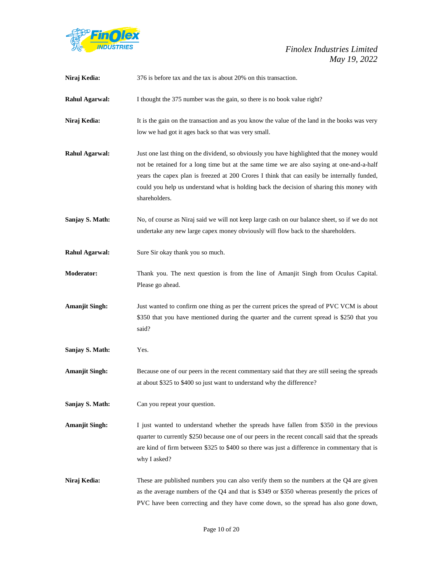

| Niraj Kedia:          | 376 is before tax and the tax is about 20% on this transaction.                                                                                                                                                                                                                                                                                                                                       |
|-----------------------|-------------------------------------------------------------------------------------------------------------------------------------------------------------------------------------------------------------------------------------------------------------------------------------------------------------------------------------------------------------------------------------------------------|
| <b>Rahul Agarwal:</b> | I thought the 375 number was the gain, so there is no book value right?                                                                                                                                                                                                                                                                                                                               |
| Niraj Kedia:          | It is the gain on the transaction and as you know the value of the land in the books was very<br>low we had got it ages back so that was very small.                                                                                                                                                                                                                                                  |
| <b>Rahul Agarwal:</b> | Just one last thing on the dividend, so obviously you have highlighted that the money would<br>not be retained for a long time but at the same time we are also saying at one-and-a-half<br>years the capex plan is freezed at 200 Crores I think that can easily be internally funded,<br>could you help us understand what is holding back the decision of sharing this money with<br>shareholders. |
| Sanjay S. Math:       | No, of course as Niraj said we will not keep large cash on our balance sheet, so if we do not<br>undertake any new large capex money obviously will flow back to the shareholders.                                                                                                                                                                                                                    |
| <b>Rahul Agarwal:</b> | Sure Sir okay thank you so much.                                                                                                                                                                                                                                                                                                                                                                      |
| <b>Moderator:</b>     | Thank you. The next question is from the line of Amanjit Singh from Oculus Capital.<br>Please go ahead.                                                                                                                                                                                                                                                                                               |
| <b>Amanjit Singh:</b> | Just wanted to confirm one thing as per the current prices the spread of PVC VCM is about<br>\$350 that you have mentioned during the quarter and the current spread is \$250 that you<br>said?                                                                                                                                                                                                       |
| Sanjay S. Math:       | Yes.                                                                                                                                                                                                                                                                                                                                                                                                  |
| <b>Amanjit Singh:</b> | Because one of our peers in the recent commentary said that they are still seeing the spreads<br>at about \$325 to \$400 so just want to understand why the difference?                                                                                                                                                                                                                               |
| Sanjay S. Math:       | Can you repeat your question.                                                                                                                                                                                                                                                                                                                                                                         |
| <b>Amanjit Singh:</b> | I just wanted to understand whether the spreads have fallen from \$350 in the previous<br>quarter to currently \$250 because one of our peers in the recent concall said that the spreads<br>are kind of firm between \$325 to \$400 so there was just a difference in commentary that is<br>why I asked?                                                                                             |
| Niraj Kedia:          | These are published numbers you can also verify them so the numbers at the Q4 are given<br>as the average numbers of the Q4 and that is \$349 or \$350 whereas presently the prices of<br>PVC have been correcting and they have come down, so the spread has also gone down,                                                                                                                         |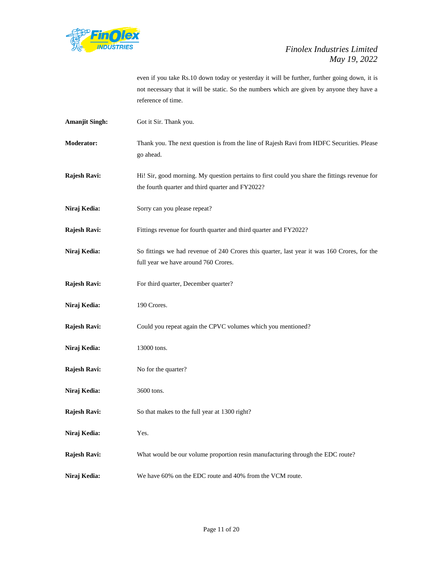

even if you take Rs.10 down today or yesterday it will be further, further going down, it is not necessary that it will be static. So the numbers which are given by anyone they have a reference of time.

**Amanjit Singh:** Got it Sir. Thank you. **Moderator:** Thank you. The next question is from the line of Rajesh Ravi from HDFC Securities. Please go ahead. **Rajesh Ravi:** Hi! Sir, good morning. My question pertains to first could you share the fittings revenue for the fourth quarter and third quarter and FY2022? Niraj Kedia: Sorry can you please repeat? **Rajesh Ravi:** Fittings revenue for fourth quarter and third quarter and FY2022? **Niraj Kedia:** So fittings we had revenue of 240 Crores this quarter, last year it was 160 Crores, for the full year we have around 760 Crores. **Rajesh Ravi:** For third quarter, December quarter? Niraj Kedia: 190 Crores. **Rajesh Ravi:** Could you repeat again the CPVC volumes which you mentioned? Niraj Kedia: 13000 tons. **Rajesh Ravi:** No for the quarter? **Niraj Kedia:** 3600 tons. **Rajesh Ravi:** So that makes to the full year at 1300 right? **Niraj Kedia:** Yes. **Rajesh Ravi:** What would be our volume proportion resin manufacturing through the EDC route? **Niraj Kedia:** We have 60% on the EDC route and 40% from the VCM route.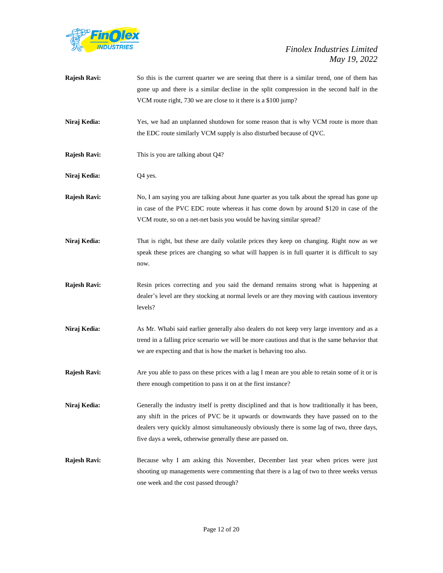

| Rajesh Ravi:        | So this is the current quarter we are seeing that there is a similar trend, one of them has<br>gone up and there is a similar decline in the split compression in the second half in the<br>VCM route right, 730 we are close to it there is a \$100 jump?                                                                                         |
|---------------------|----------------------------------------------------------------------------------------------------------------------------------------------------------------------------------------------------------------------------------------------------------------------------------------------------------------------------------------------------|
| Niraj Kedia:        | Yes, we had an unplanned shutdown for some reason that is why VCM route is more than<br>the EDC route similarly VCM supply is also disturbed because of QVC.                                                                                                                                                                                       |
| Rajesh Ravi:        | This is you are talking about Q4?                                                                                                                                                                                                                                                                                                                  |
| Niraj Kedia:        | Q4 yes.                                                                                                                                                                                                                                                                                                                                            |
| Rajesh Ravi:        | No, I am saying you are talking about June quarter as you talk about the spread has gone up<br>in case of the PVC EDC route whereas it has come down by around \$120 in case of the<br>VCM route, so on a net-net basis you would be having similar spread?                                                                                        |
| Niraj Kedia:        | That is right, but these are daily volatile prices they keep on changing. Right now as we<br>speak these prices are changing so what will happen is in full quarter it is difficult to say<br>now.                                                                                                                                                 |
| Rajesh Ravi:        | Resin prices correcting and you said the demand remains strong what is happening at<br>dealer's level are they stocking at normal levels or are they moving with cautious inventory<br>levels?                                                                                                                                                     |
| Niraj Kedia:        | As Mr. Whabi said earlier generally also dealers do not keep very large inventory and as a<br>trend in a falling price scenario we will be more cautious and that is the same behavior that<br>we are expecting and that is how the market is behaving too also.                                                                                   |
| Rajesh Ravi:        | Are you able to pass on these prices with a lag I mean are you able to retain some of it or is<br>there enough competition to pass it on at the first instance?                                                                                                                                                                                    |
| Niraj Kedia:        | Generally the industry itself is pretty disciplined and that is how traditionally it has been,<br>any shift in the prices of PVC be it upwards or downwards they have passed on to the<br>dealers very quickly almost simultaneously obviously there is some lag of two, three days,<br>five days a week, otherwise generally these are passed on. |
| <b>Rajesh Ravi:</b> | Because why I am asking this November, December last year when prices were just<br>shooting up managements were commenting that there is a lag of two to three weeks versus<br>one week and the cost passed through?                                                                                                                               |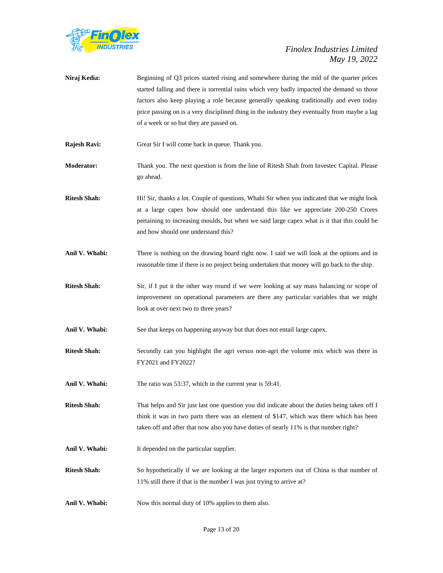

- **Niraj Kedia:** Beginning of Q3 prices started rising and somewhere during the mid of the quarter prices started falling and there is torrential rains which very badly impacted the demand so those factors also keep playing a role because generally speaking traditionally and even today price passing on is a very disciplined thing in the industry they eventually from maybe a lag of a week or so but they are passed on.
- **Rajesh Ravi:** Great Sir I will come back in queue. Thank you.
- **Moderator:** Thank you. The next question is from the line of Ritesh Shah from Investec Capital. Please go ahead.
- **Ritesh Shah:** Hi! Sir, thanks a lot. Couple of questions, Whabi Sir when you indicated that we might look at a large capex how should one understand this like we appreciate 200-250 Crores pertaining to increasing moulds, but when we said large capex what is it that this could be and how should one understand this?
- **Anil V. Whabi:** There is nothing on the drawing board right now. I said we will look at the options and in reasonable time if there is no project being undertaken that money will go back to the ship.
- **Ritesh Shah:** Sir, if I put it the other way round if we were looking at say mass balancing or scope of improvement on operational parameters are there any particular variables that we might look at over next two to three years?
- Anil V. Whabi: See that keeps on happening anyway but that does not entail large capex.
- **Ritesh Shah:** Secondly can you highlight the agri versus non-agri the volume mix which was there in FY2021 and FY2022?
- **Anil V. Whabi:** The ratio was 53:37, which in the current year is 59:41.
- **Ritesh Shah:** That helps and Sir just last one question you did indicate about the duties being taken off I think it was in two parts there was an element of \$147, which was there which has been taken off and after that now also you have duties of nearly 11% is that number right?
- Anil V. Whabi: It depended on the particular supplier.
- **Ritesh Shah:** So hypothetically if we are looking at the larger exporters out of China is that number of 11% still there if that is the number I was just trying to arrive at?
- Anil V. Whabi: Now this normal duty of 10% applies to them also.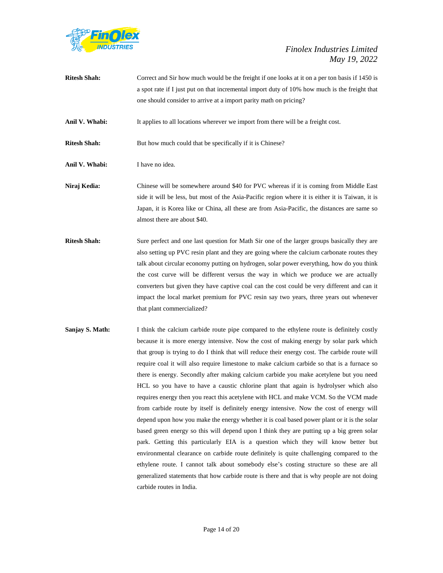

| <b>Ritesh Shah:</b> | Correct and Sir how much would be the freight if one looks at it on a per ton basis if 1450 is   |
|---------------------|--------------------------------------------------------------------------------------------------|
|                     | a spot rate if I just put on that incremental import duty of 10% how much is the freight that    |
|                     | one should consider to arrive at a import parity math on pricing?                                |
| Anil V. Whabi:      | It applies to all locations wherever we import from there will be a freight cost.                |
| <b>Ritesh Shah:</b> | But how much could that be specifically if it is Chinese?                                        |
| Anil V. Whabi:      | I have no idea.                                                                                  |
| Niraj Kedia:        | Chinese will be somewhere around \$40 for PVC whereas if it is coming from Middle East           |
|                     | side it will be less, but most of the Asia-Pacific region where it is either it is Taiwan, it is |
|                     | Japan, it is Korea like or China, all these are from Asia-Pacific, the distances are same so     |
|                     | almost there are about \$40.                                                                     |
| <b>Ritesh Shah:</b> | Sure perfect and one last question for Math Sir one of the larger groups basically they are      |

- also setting up PVC resin plant and they are going where the calcium carbonate routes they talk about circular economy putting on hydrogen, solar power everything, how do you think the cost curve will be different versus the way in which we produce we are actually converters but given they have captive coal can the cost could be very different and can it impact the local market premium for PVC resin say two years, three years out whenever that plant commercialized?
- **Sanjay S. Math:** I think the calcium carbide route pipe compared to the ethylene route is definitely costly because it is more energy intensive. Now the cost of making energy by solar park which that group is trying to do I think that will reduce their energy cost. The carbide route will require coal it will also require limestone to make calcium carbide so that is a furnace so there is energy. Secondly after making calcium carbide you make acetylene but you need HCL so you have to have a caustic chlorine plant that again is hydrolyser which also requires energy then you react this acetylene with HCL and make VCM. So the VCM made from carbide route by itself is definitely energy intensive. Now the cost of energy will depend upon how you make the energy whether it is coal based power plant or it is the solar based green energy so this will depend upon I think they are putting up a big green solar park. Getting this particularly EIA is a question which they will know better but environmental clearance on carbide route definitely is quite challenging compared to the ethylene route. I cannot talk about somebody else's costing structure so these are all generalized statements that how carbide route is there and that is why people are not doing carbide routes in India.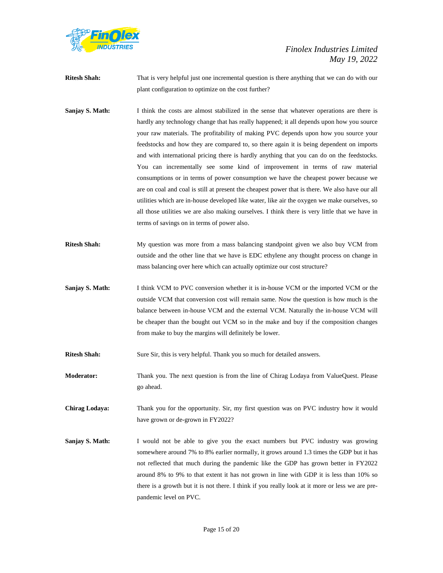

- **Ritesh Shah:** That is very helpful just one incremental question is there anything that we can do with our plant configuration to optimize on the cost further?
- **Sanjay S. Math:** I think the costs are almost stabilized in the sense that whatever operations are there is hardly any technology change that has really happened; it all depends upon how you source your raw materials. The profitability of making PVC depends upon how you source your feedstocks and how they are compared to, so there again it is being dependent on imports and with international pricing there is hardly anything that you can do on the feedstocks. You can incrementally see some kind of improvement in terms of raw material consumptions or in terms of power consumption we have the cheapest power because we are on coal and coal is still at present the cheapest power that is there. We also have our all utilities which are in-house developed like water, like air the oxygen we make ourselves, so all those utilities we are also making ourselves. I think there is very little that we have in terms of savings on in terms of power also.
- **Ritesh Shah:** My question was more from a mass balancing standpoint given we also buy VCM from outside and the other line that we have is EDC ethylene any thought process on change in mass balancing over here which can actually optimize our cost structure?
- **Sanjay S. Math:** I think VCM to PVC conversion whether it is in-house VCM or the imported VCM or the outside VCM that conversion cost will remain same. Now the question is how much is the balance between in-house VCM and the external VCM. Naturally the in-house VCM will be cheaper than the bought out VCM so in the make and buy if the composition changes from make to buy the margins will definitely be lower.
- **Ritesh Shah:** Sure Sir, this is very helpful. Thank you so much for detailed answers.
- **Moderator:** Thank you. The next question is from the line of Chirag Lodaya from ValueQuest. Please go ahead.
- **Chirag Lodaya:** Thank you for the opportunity. Sir, my first question was on PVC industry how it would have grown or de-grown in FY2022?
- **Sanjay S. Math:** I would not be able to give you the exact numbers but PVC industry was growing somewhere around 7% to 8% earlier normally, it grows around 1.3 times the GDP but it has not reflected that much during the pandemic like the GDP has grown better in FY2022 around 8% to 9% to that extent it has not grown in line with GDP it is less than 10% so there is a growth but it is not there. I think if you really look at it more or less we are prepandemic level on PVC.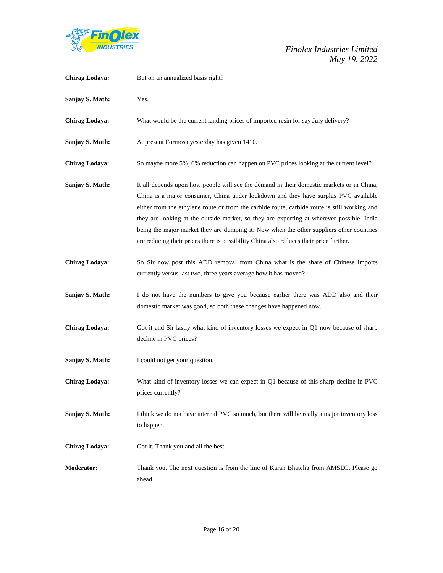

| <b>Chirag Lodaya:</b> | But on an annualized basis right?                                                                                                                                                                                                                                                                                                                                                                                                                                                                                                                                   |
|-----------------------|---------------------------------------------------------------------------------------------------------------------------------------------------------------------------------------------------------------------------------------------------------------------------------------------------------------------------------------------------------------------------------------------------------------------------------------------------------------------------------------------------------------------------------------------------------------------|
| Sanjay S. Math:       | Yes.                                                                                                                                                                                                                                                                                                                                                                                                                                                                                                                                                                |
| <b>Chirag Lodaya:</b> | What would be the current landing prices of imported resin for say July delivery?                                                                                                                                                                                                                                                                                                                                                                                                                                                                                   |
| Sanjay S. Math:       | At present Formosa yesterday has given 1410.                                                                                                                                                                                                                                                                                                                                                                                                                                                                                                                        |
| <b>Chirag Lodaya:</b> | So maybe more 5%, 6% reduction can happen on PVC prices looking at the current level?                                                                                                                                                                                                                                                                                                                                                                                                                                                                               |
| Sanjay S. Math:       | It all depends upon how people will see the demand in their domestic markets or in China,<br>China is a major consumer, China under lockdown and they have surplus PVC available<br>either from the ethylene route or from the carbide route, carbide route is still working and<br>they are looking at the outside market, so they are exporting at wherever possible. India<br>being the major market they are dumping it. Now when the other suppliers other countries<br>are reducing their prices there is possibility China also reduces their price further. |
| <b>Chirag Lodaya:</b> | So Sir now post this ADD removal from China what is the share of Chinese imports<br>currently versus last two, three years average how it has moved?                                                                                                                                                                                                                                                                                                                                                                                                                |
| Sanjay S. Math:       | I do not have the numbers to give you because earlier there was ADD also and their<br>domestic market was good, so both these changes have happened now.                                                                                                                                                                                                                                                                                                                                                                                                            |
| <b>Chirag Lodaya:</b> | Got it and Sir lastly what kind of inventory losses we expect in Q1 now because of sharp<br>decline in PVC prices?                                                                                                                                                                                                                                                                                                                                                                                                                                                  |
| Sanjay S. Math:       | I could not get your question.                                                                                                                                                                                                                                                                                                                                                                                                                                                                                                                                      |
| <b>Chirag Lodaya:</b> | What kind of inventory losses we can expect in Q1 because of this sharp decline in PVC<br>prices currently?                                                                                                                                                                                                                                                                                                                                                                                                                                                         |
| Sanjay S. Math:       | I think we do not have internal PVC so much, but there will be really a major inventory loss<br>to happen.                                                                                                                                                                                                                                                                                                                                                                                                                                                          |
| <b>Chirag Lodaya:</b> | Got it. Thank you and all the best.                                                                                                                                                                                                                                                                                                                                                                                                                                                                                                                                 |
| Moderator:            | Thank you. The next question is from the line of Karan Bhatelia from AMSEC. Please go<br>ahead.                                                                                                                                                                                                                                                                                                                                                                                                                                                                     |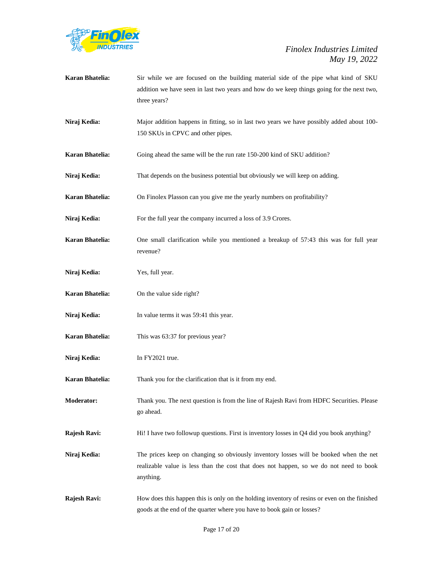

| <b>Karan Bhatelia:</b> | Sir while we are focused on the building material side of the pipe what kind of SKU<br>addition we have seen in last two years and how do we keep things going for the next two,<br>three years? |
|------------------------|--------------------------------------------------------------------------------------------------------------------------------------------------------------------------------------------------|
| Niraj Kedia:           | Major addition happens in fitting, so in last two years we have possibly added about 100-<br>150 SKUs in CPVC and other pipes.                                                                   |
| Karan Bhatelia:        | Going ahead the same will be the run rate 150-200 kind of SKU addition?                                                                                                                          |
| Niraj Kedia:           | That depends on the business potential but obviously we will keep on adding.                                                                                                                     |
| Karan Bhatelia:        | On Finolex Plasson can you give me the yearly numbers on profitability?                                                                                                                          |
| Niraj Kedia:           | For the full year the company incurred a loss of 3.9 Crores.                                                                                                                                     |
| <b>Karan Bhatelia:</b> | One small clarification while you mentioned a breakup of 57:43 this was for full year<br>revenue?                                                                                                |
| Niraj Kedia:           | Yes, full year.                                                                                                                                                                                  |
| Karan Bhatelia:        | On the value side right?                                                                                                                                                                         |
| Niraj Kedia:           | In value terms it was 59:41 this year.                                                                                                                                                           |
| Karan Bhatelia:        | This was 63:37 for previous year?                                                                                                                                                                |
| Niraj Kedia:           | In FY2021 true.                                                                                                                                                                                  |
| <b>Karan Bhatelia:</b> | Thank you for the clarification that is it from my end.                                                                                                                                          |
| <b>Moderator:</b>      | Thank you. The next question is from the line of Rajesh Ravi from HDFC Securities. Please<br>go ahead.                                                                                           |
| Rajesh Ravi:           | Hi! I have two followup questions. First is inventory losses in Q4 did you book anything?                                                                                                        |
| Niraj Kedia:           | The prices keep on changing so obviously inventory losses will be booked when the net<br>realizable value is less than the cost that does not happen, so we do not need to book<br>anything.     |
| Rajesh Ravi:           | How does this happen this is only on the holding inventory of resins or even on the finished<br>goods at the end of the quarter where you have to book gain or losses?                           |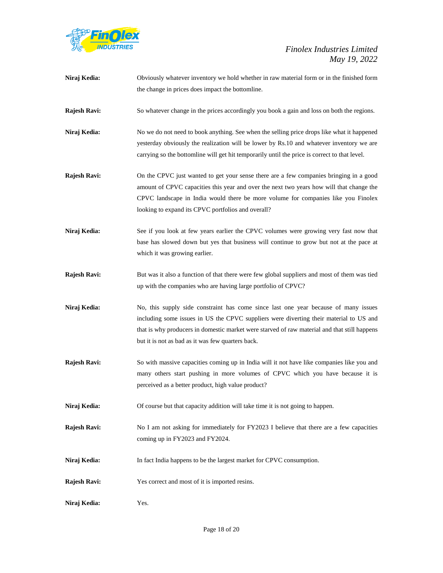

| Niraj Kedia:        | Obviously whatever inventory we hold whether in raw material form or in the finished form                                                                                                                                                                                                                                          |
|---------------------|------------------------------------------------------------------------------------------------------------------------------------------------------------------------------------------------------------------------------------------------------------------------------------------------------------------------------------|
|                     | the change in prices does impact the bottomline.                                                                                                                                                                                                                                                                                   |
| Rajesh Ravi:        | So whatever change in the prices accordingly you book a gain and loss on both the regions.                                                                                                                                                                                                                                         |
| Niraj Kedia:        | No we do not need to book anything. See when the selling price drops like what it happened<br>yesterday obviously the realization will be lower by Rs.10 and whatever inventory we are                                                                                                                                             |
|                     | carrying so the bottomline will get hit temporarily until the price is correct to that level.                                                                                                                                                                                                                                      |
| <b>Rajesh Ravi:</b> | On the CPVC just wanted to get your sense there are a few companies bringing in a good<br>amount of CPVC capacities this year and over the next two years how will that change the<br>CPVC landscape in India would there be more volume for companies like you Finolex<br>looking to expand its CPVC portfolios and overall?      |
| Niraj Kedia:        | See if you look at few years earlier the CPVC volumes were growing very fast now that<br>base has slowed down but yes that business will continue to grow but not at the pace at<br>which it was growing earlier.                                                                                                                  |
| Rajesh Ravi:        | But was it also a function of that there were few global suppliers and most of them was tied<br>up with the companies who are having large portfolio of CPVC?                                                                                                                                                                      |
| Niraj Kedia:        | No, this supply side constraint has come since last one year because of many issues<br>including some issues in US the CPVC suppliers were diverting their material to US and<br>that is why producers in domestic market were starved of raw material and that still happens<br>but it is not as bad as it was few quarters back. |
| Rajesh Ravi:        | So with massive capacities coming up in India will it not have like companies like you and<br>many others start pushing in more volumes of CPVC which you have because it is<br>perceived as a better product, high value product?                                                                                                 |
| Niraj Kedia:        | Of course but that capacity addition will take time it is not going to happen.                                                                                                                                                                                                                                                     |
| <b>Rajesh Ravi:</b> | No I am not asking for immediately for FY2023 I believe that there are a few capacities                                                                                                                                                                                                                                            |

coming up in FY2023 and FY2024.

Niraj Kedia: In fact India happens to be the largest market for CPVC consumption.

**Rajesh Ravi:** Yes correct and most of it is imported resins.

**Niraj Kedia:** Yes.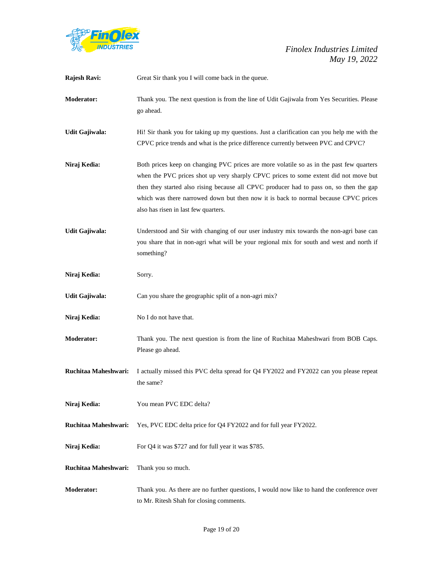

| Rajesh Ravi:         | Great Sir thank you I will come back in the queue.                                                                                                                                                                                                                                                                                                                                                         |
|----------------------|------------------------------------------------------------------------------------------------------------------------------------------------------------------------------------------------------------------------------------------------------------------------------------------------------------------------------------------------------------------------------------------------------------|
| <b>Moderator:</b>    | Thank you. The next question is from the line of Udit Gajiwala from Yes Securities. Please<br>go ahead.                                                                                                                                                                                                                                                                                                    |
| Udit Gajiwala:       | Hi! Sir thank you for taking up my questions. Just a clarification can you help me with the<br>CPVC price trends and what is the price difference currently between PVC and CPVC?                                                                                                                                                                                                                          |
| Niraj Kedia:         | Both prices keep on changing PVC prices are more volatile so as in the past few quarters<br>when the PVC prices shot up very sharply CPVC prices to some extent did not move but<br>then they started also rising because all CPVC producer had to pass on, so then the gap<br>which was there narrowed down but then now it is back to normal because CPVC prices<br>also has risen in last few quarters. |
| Udit Gajiwala:       | Understood and Sir with changing of our user industry mix towards the non-agri base can<br>you share that in non-agri what will be your regional mix for south and west and north if<br>something?                                                                                                                                                                                                         |
| Niraj Kedia:         | Sorry.                                                                                                                                                                                                                                                                                                                                                                                                     |
| Udit Gajiwala:       | Can you share the geographic split of a non-agri mix?                                                                                                                                                                                                                                                                                                                                                      |
| Niraj Kedia:         | No I do not have that.                                                                                                                                                                                                                                                                                                                                                                                     |
| <b>Moderator:</b>    | Thank you. The next question is from the line of Ruchitaa Maheshwari from BOB Caps.<br>Please go ahead.                                                                                                                                                                                                                                                                                                    |
| Ruchitaa Maheshwari: | I actually missed this PVC delta spread for Q4 FY2022 and FY2022 can you please repeat<br>the same?                                                                                                                                                                                                                                                                                                        |
| Niraj Kedia:         | You mean PVC EDC delta?                                                                                                                                                                                                                                                                                                                                                                                    |
| Ruchitaa Maheshwari: | Yes, PVC EDC delta price for Q4 FY2022 and for full year FY2022.                                                                                                                                                                                                                                                                                                                                           |
| Niraj Kedia:         | For Q4 it was \$727 and for full year it was \$785.                                                                                                                                                                                                                                                                                                                                                        |
| Ruchitaa Maheshwari: | Thank you so much.                                                                                                                                                                                                                                                                                                                                                                                         |
| <b>Moderator:</b>    | Thank you. As there are no further questions, I would now like to hand the conference over<br>to Mr. Ritesh Shah for closing comments.                                                                                                                                                                                                                                                                     |